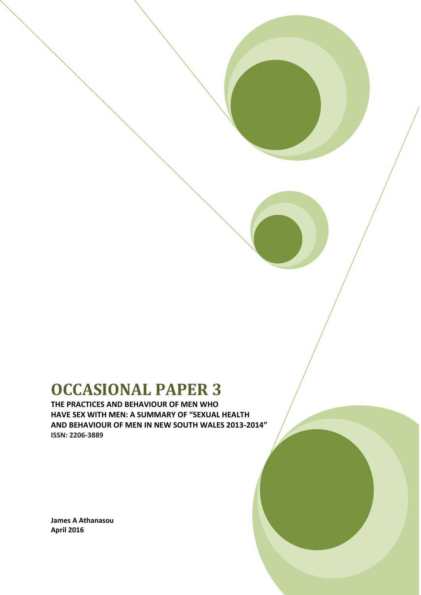# **OCCASIONAL PAPER 3**

**THE PRACTICES AND BEHAVIOUR OF MEN WHO HAVE SEX WITH MEN: A SUMMARY OF "SEXUAL HEALTH AND BEHAVIOUR OF MEN IN NEW SOUTH WALES 2013-2014" ISSN: 2206-3889**

**James A Athanasou April 2016**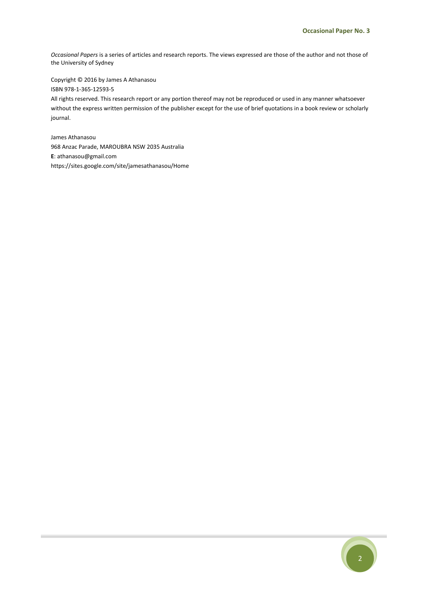*Occasional Papers* is a series of articles and research reports. The views expressed are those of the author and not those of the University of Sydney

Copyright © 2016 by James A Athanasou ISBN 978-1-365-12593-5 All rights reserved. This research report or any portion thereof may not be reproduced or used in any manner whatsoever without the express written permission of the publisher except for the use of brief quotations in a book review or scholarly journal.

James Athanasou 968 Anzac Parade, MAROUBRA NSW 2035 Australia **E**: athanasou@gmail.com https://sites.google.com/site/jamesathanasou/Home

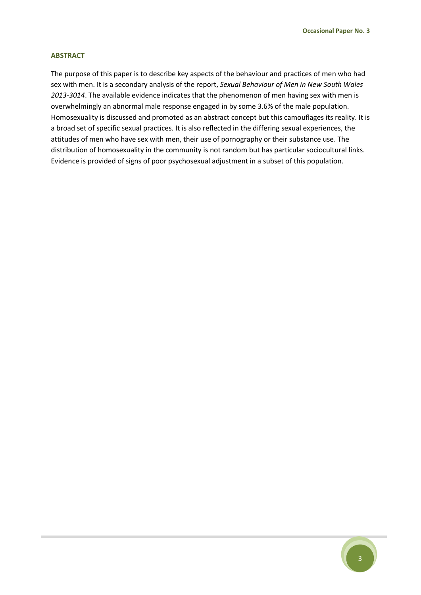#### **ABSTRACT**

The purpose of this paper is to describe key aspects of the behaviour and practices of men who had sex with men. It is a secondary analysis of the report, *Sexual Behaviour of Men in New South Wales 2013-3014*. The available evidence indicates that the phenomenon of men having sex with men is overwhelmingly an abnormal male response engaged in by some 3.6% of the male population. Homosexuality is discussed and promoted as an abstract concept but this camouflages its reality. It is a broad set of specific sexual practices. It is also reflected in the differing sexual experiences, the attitudes of men who have sex with men, their use of pornography or their substance use. The distribution of homosexuality in the community is not random but has particular sociocultural links. Evidence is provided of signs of poor psychosexual adjustment in a subset of this population.

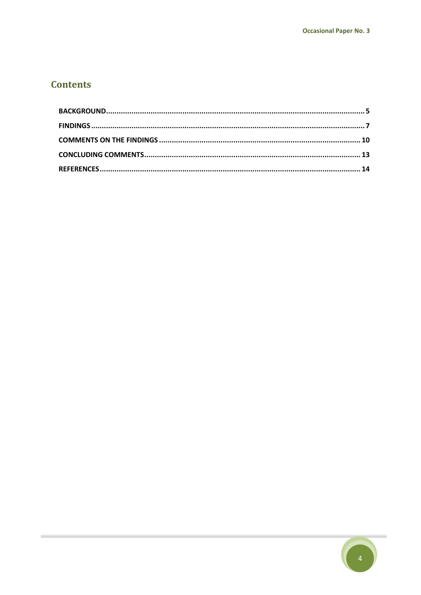# **Contents**

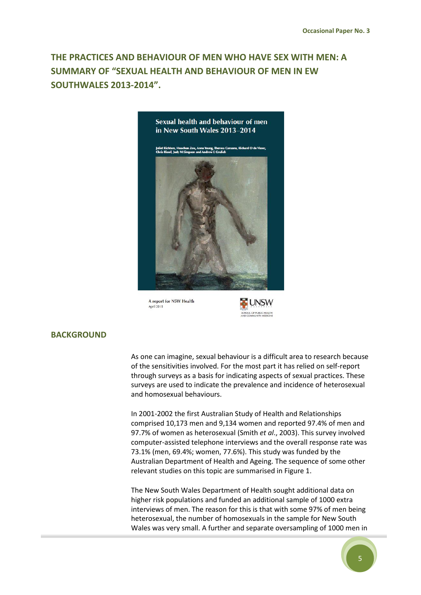# **THE PRACTICES AND BEHAVIOUR OF MEN WHO HAVE SEX WITH MEN: A SUMMARY OF "SEXUAL HEALTH AND BEHAVIOUR OF MEN IN EW SOUTHWALES 2013-2014".**



A report for NSW Health April 2015



# <span id="page-4-0"></span>**BACKGROUND**

As one can imagine, sexual behaviour is a difficult area to research because of the sensitivities involved. For the most part it has relied on self-report through surveys as a basis for indicating aspects of sexual practices. These surveys are used to indicate the prevalence and incidence of heterosexual and homosexual behaviours.

In 2001-2002 the first Australian Study of Health and Relationships comprised 10,173 men and 9,134 women and reported 97.4% of men and 97.7% of women as heterosexual (Smith *et al*., 2003). This survey involved computer-assisted telephone interviews and the overall response rate was 73.1% (men, 69.4%; women, 77.6%). This study was funded by the Australian Department of Health and Ageing. The sequence of some other relevant studies on this topic are summarised in Figure 1.

The New South Wales Department of Health sought additional data on higher risk populations and funded an additional sample of 1000 extra interviews of men. The reason for this is that with some 97% of men being heterosexual, the number of homosexuals in the sample for New South Wales was very small. A further and separate oversampling of 1000 men in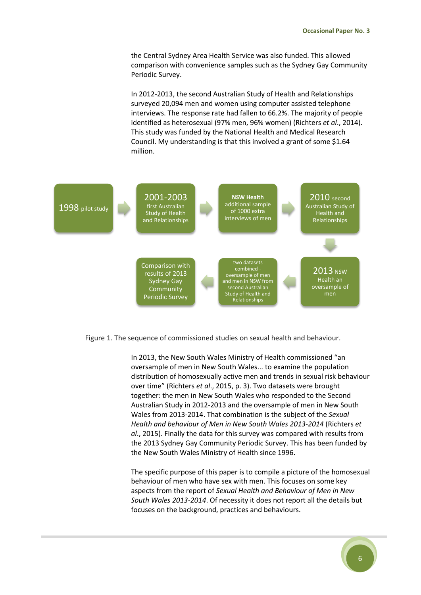the Central Sydney Area Health Service was also funded. This allowed comparison with convenience samples such as the Sydney Gay Community Periodic Survey.

In 2012-2013, the second Australian Study of Health and Relationships surveyed 20,094 men and women using computer assisted telephone interviews. The response rate had fallen to 66.2%. The majority of people identified as heterosexual (97% men, 96% women) (Richters *et al*., 2014). This study was funded by the National Health and Medical Research Council. My understanding is that this involved a grant of some \$1.64 million.





In 2013, the New South Wales Ministry of Health commissioned "an oversample of men in New South Wales... to examine the population distribution of homosexually active men and trends in sexual risk behaviour over time" (Richters *et al*., 2015, p. 3). Two datasets were brought together: the men in New South Wales who responded to the Second Australian Study in 2012-2013 and the oversample of men in New South Wales from 2013-2014. That combination is the subject of the *Sexual Health and behaviour of Men in New South Wales 2013-2014* (Richters *et al*., 2015). Finally the data for this survey was compared with results from the 2013 Sydney Gay Community Periodic Survey. This has been funded by the New South Wales Ministry of Health since 1996.

The specific purpose of this paper is to compile a picture of the homosexual behaviour of men who have sex with men. This focuses on some key aspects from the report of *Sexual Health and Behaviour of Men in New South Wales 2013-2014*. Of necessity it does not report all the details but focuses on the background, practices and behaviours.

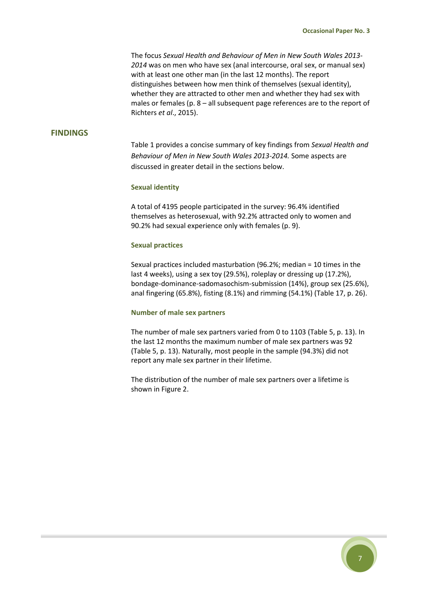The focus *Sexual Health and Behaviour of Men in New South Wales 2013- 2014* was on men who have sex (anal intercourse, oral sex, or manual sex) with at least one other man (in the last 12 months). The report distinguishes between how men think of themselves (sexual identity), whether they are attracted to other men and whether they had sex with males or females (p. 8 – all subsequent page references are to the report of Richters *et al*., 2015).

# <span id="page-6-0"></span>**FINDINGS**

Table 1 provides a concise summary of key findings from *Sexual Health and Behaviour of Men in New South Wales 2013-2014.* Some aspects are discussed in greater detail in the sections below.

#### **Sexual identity**

A total of 4195 people participated in the survey: 96.4% identified themselves as heterosexual, with 92.2% attracted only to women and 90.2% had sexual experience only with females (p. 9).

#### **Sexual practices**

Sexual practices included masturbation (96.2%; median = 10 times in the last 4 weeks), using a sex toy (29.5%), roleplay or dressing up (17.2%), bondage-dominance-sadomasochism-submission (14%), group sex (25.6%), anal fingering (65.8%), fisting (8.1%) and rimming (54.1%) (Table 17, p. 26).

#### **Number of male sex partners**

The number of male sex partners varied from 0 to 1103 (Table 5, p. 13). In the last 12 months the maximum number of male sex partners was 92 (Table 5, p. 13). Naturally, most people in the sample (94.3%) did not report any male sex partner in their lifetime.

The distribution of the number of male sex partners over a lifetime is shown in Figure 2.

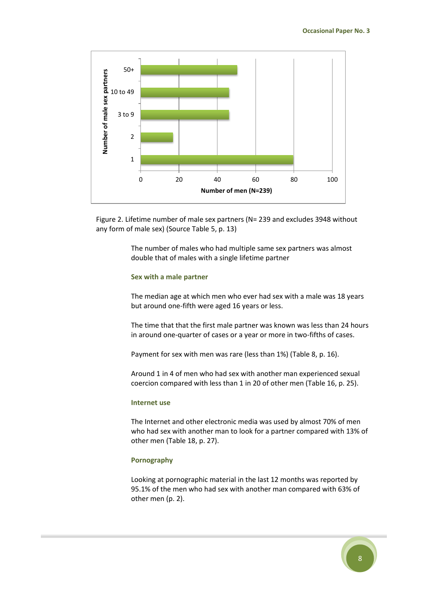

Figure 2. Lifetime number of male sex partners (N= 239 and excludes 3948 without any form of male sex) (Source Table 5, p. 13)

> The number of males who had multiple same sex partners was almost double that of males with a single lifetime partner

#### **Sex with a male partner**

The median age at which men who ever had sex with a male was 18 years but around one-fifth were aged 16 years or less.

The time that that the first male partner was known was less than 24 hours in around one-quarter of cases or a year or more in two-fifths of cases.

Payment for sex with men was rare (less than 1%) (Table 8, p. 16).

Around 1 in 4 of men who had sex with another man experienced sexual coercion compared with less than 1 in 20 of other men (Table 16, p. 25).

#### **Internet use**

The Internet and other electronic media was used by almost 70% of men who had sex with another man to look for a partner compared with 13% of other men (Table 18, p. 27).

#### **Pornography**

Looking at pornographic material in the last 12 months was reported by 95.1% of the men who had sex with another man compared with 63% of other men (p. 2).

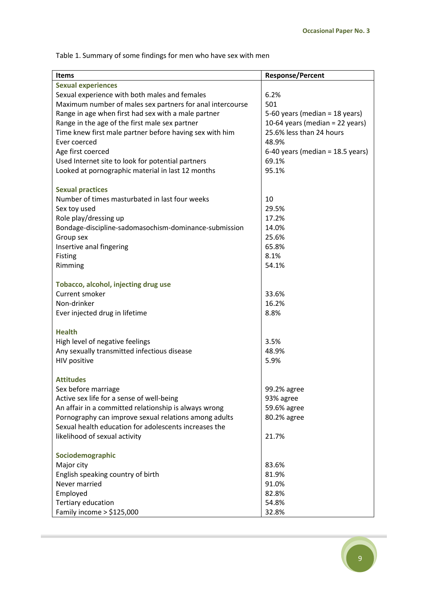Table 1. Summary of some findings for men who have sex with men

| <b>Items</b>                                              | <b>Response/Percent</b>            |
|-----------------------------------------------------------|------------------------------------|
| <b>Sexual experiences</b>                                 |                                    |
|                                                           |                                    |
| Sexual experience with both males and females             | 6.2%                               |
| Maximum number of males sex partners for anal intercourse | 501                                |
| Range in age when first had sex with a male partner       | 5-60 years (median = $18$ years)   |
| Range in the age of the first male sex partner            | 10-64 years (median = 22 years)    |
| Time knew first male partner before having sex with him   | 25.6% less than 24 hours           |
| Ever coerced                                              | 48.9%                              |
| Age first coerced                                         | 6-40 years (median = $18.5$ years) |
| Used Internet site to look for potential partners         | 69.1%                              |
| Looked at pornographic material in last 12 months         | 95.1%                              |
|                                                           |                                    |
| <b>Sexual practices</b>                                   |                                    |
| Number of times masturbated in last four weeks            | 10                                 |
| Sex toy used                                              | 29.5%                              |
| Role play/dressing up                                     | 17.2%                              |
| Bondage-discipline-sadomasochism-dominance-submission     | 14.0%                              |
| Group sex                                                 | 25.6%                              |
|                                                           | 65.8%                              |
| Insertive anal fingering                                  |                                    |
| Fisting                                                   | 8.1%                               |
| Rimming                                                   | 54.1%                              |
|                                                           |                                    |
| Tobacco, alcohol, injecting drug use                      |                                    |
| Current smoker                                            | 33.6%                              |
| Non-drinker                                               | 16.2%                              |
| Ever injected drug in lifetime                            | 8.8%                               |
|                                                           |                                    |
| <b>Health</b>                                             |                                    |
| High level of negative feelings                           | 3.5%                               |
| Any sexually transmitted infectious disease               | 48.9%                              |
| HIV positive                                              | 5.9%                               |
|                                                           |                                    |
| <b>Attitudes</b>                                          |                                    |
| Sex before marriage                                       | 99.2% agree                        |
| Active sex life for a sense of well-being                 | 93% agree                          |
| An affair in a committed relationship is always wrong     | 59.6% agree                        |
|                                                           |                                    |
| Pornography can improve sexual relations among adults     | 80.2% agree                        |
| Sexual health education for adolescents increases the     |                                    |
| likelihood of sexual activity                             | 21.7%                              |
|                                                           |                                    |
| Sociodemographic                                          |                                    |
| Major city                                                | 83.6%                              |
| English speaking country of birth                         | 81.9%                              |
| Never married                                             | 91.0%                              |
| Employed                                                  | 82.8%                              |
| Tertiary education                                        | 54.8%                              |
| Family income $>$ \$125,000                               | 32.8%                              |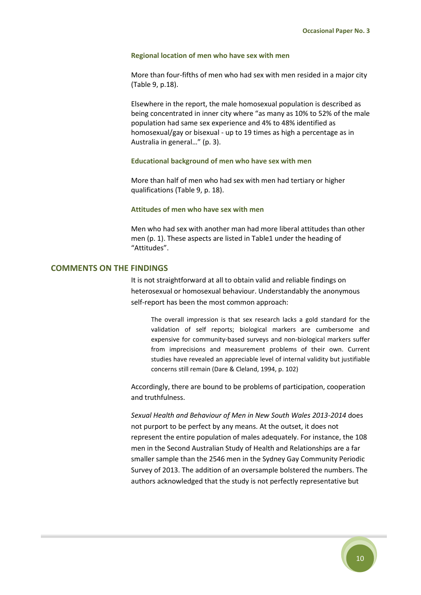#### **Regional location of men who have sex with men**

More than four-fifths of men who had sex with men resided in a major city (Table 9, p.18).

Elsewhere in the report, the male homosexual population is described as being concentrated in inner city where "as many as 10% to 52% of the male population had same sex experience and 4% to 48% identified as homosexual/gay or bisexual - up to 19 times as high a percentage as in Australia in general…" (p. 3).

#### **Educational background of men who have sex with men**

More than half of men who had sex with men had tertiary or higher qualifications (Table 9, p. 18).

#### **Attitudes of men who have sex with men**

Men who had sex with another man had more liberal attitudes than other men (p. 1). These aspects are listed in Table1 under the heading of "Attitudes".

## <span id="page-9-0"></span>**COMMENTS ON THE FINDINGS**

It is not straightforward at all to obtain valid and reliable findings on heterosexual or homosexual behaviour. Understandably the anonymous self-report has been the most common approach:

The overall impression is that sex research lacks a gold standard for the validation of self reports; biological markers are cumbersome and expensive for community-based surveys and non-biological markers suffer from imprecisions and measurement problems of their own. Current studies have revealed an appreciable level of internal validity but justifiable concerns still remain (Dare & Cleland, 1994, p. 102)

Accordingly, there are bound to be problems of participation, cooperation and truthfulness.

*Sexual Health and Behaviour of Men in New South Wales 2013-2014* does not purport to be perfect by any means. At the outset, it does not represent the entire population of males adequately. For instance, the 108 men in the Second Australian Study of Health and Relationships are a far smaller sample than the 2546 men in the Sydney Gay Community Periodic Survey of 2013. The addition of an oversample bolstered the numbers. The authors acknowledged that the study is not perfectly representative but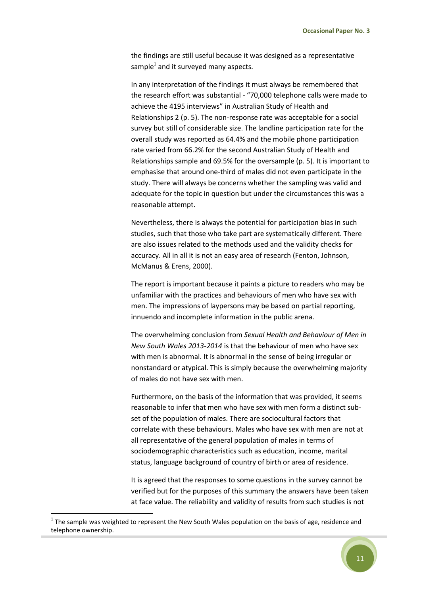the findings are still useful because it was designed as a representative sample<sup>1</sup> and it surveyed many aspects.

In any interpretation of the findings it must always be remembered that the research effort was substantial - "70,000 telephone calls were made to achieve the 4195 interviews" in Australian Study of Health and Relationships 2 (p. 5). The non-response rate was acceptable for a social survey but still of considerable size. The landline participation rate for the overall study was reported as 64.4% and the mobile phone participation rate varied from 66.2% for the second Australian Study of Health and Relationships sample and 69.5% for the oversample (p. 5). It is important to emphasise that around one-third of males did not even participate in the study. There will always be concerns whether the sampling was valid and adequate for the topic in question but under the circumstances this was a reasonable attempt.

Nevertheless, there is always the potential for participation bias in such studies, such that those who take part are systematically different. There are also issues related to the methods used and the validity checks for accuracy. All in all it is not an easy area of research (Fenton, Johnson, McManus & Erens, 2000).

The report is important because it paints a picture to readers who may be unfamiliar with the practices and behaviours of men who have sex with men. The impressions of laypersons may be based on partial reporting, innuendo and incomplete information in the public arena.

The overwhelming conclusion from *Sexual Health and Behaviour of Men in New South Wales 2013-2014* is that the behaviour of men who have sex with men is abnormal. It is abnormal in the sense of being irregular or nonstandard or atypical. This is simply because the overwhelming majority of males do not have sex with men.

Furthermore, on the basis of the information that was provided, it seems reasonable to infer that men who have sex with men form a distinct subset of the population of males. There are sociocultural factors that correlate with these behaviours. Males who have sex with men are not at all representative of the general population of males in terms of sociodemographic characteristics such as education, income, marital status, language background of country of birth or area of residence.

It is agreed that the responses to some questions in the survey cannot be verified but for the purposes of this summary the answers have been taken at face value. The reliability and validity of results from such studies is not

1



 $1$  The sample was weighted to represent the New South Wales population on the basis of age, residence and telephone ownership.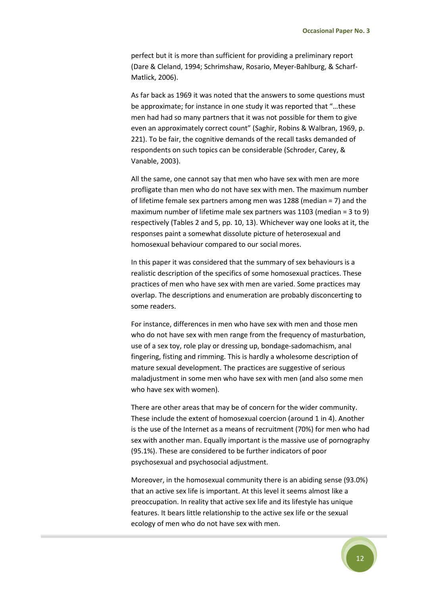perfect but it is more than sufficient for providing a preliminary report (Dare & Cleland, 1994; Schrimshaw, Rosario, Meyer-Bahlburg, & Scharf-Matlick, 2006).

As far back as 1969 it was noted that the answers to some questions must be approximate; for instance in one study it was reported that "…these men had had so many partners that it was not possible for them to give even an approximately correct count" (Saghir, Robins & Walbran, 1969, p. 221). To be fair, the cognitive demands of the recall tasks demanded of respondents on such topics can be considerable (Schroder, Carey, & Vanable, 2003).

All the same, one cannot say that men who have sex with men are more profligate than men who do not have sex with men. The maximum number of lifetime female sex partners among men was 1288 (median = 7) and the maximum number of lifetime male sex partners was 1103 (median = 3 to 9) respectively (Tables 2 and 5, pp. 10, 13). Whichever way one looks at it, the responses paint a somewhat dissolute picture of heterosexual and homosexual behaviour compared to our social mores.

In this paper it was considered that the summary of sex behaviours is a realistic description of the specifics of some homosexual practices. These practices of men who have sex with men are varied. Some practices may overlap. The descriptions and enumeration are probably disconcerting to some readers.

For instance, differences in men who have sex with men and those men who do not have sex with men range from the frequency of masturbation, use of a sex toy, role play or dressing up, bondage-sadomachism, anal fingering, fisting and rimming. This is hardly a wholesome description of mature sexual development. The practices are suggestive of serious maladjustment in some men who have sex with men (and also some men who have sex with women).

There are other areas that may be of concern for the wider community. These include the extent of homosexual coercion (around 1 in 4). Another is the use of the Internet as a means of recruitment (70%) for men who had sex with another man. Equally important is the massive use of pornography (95.1%). These are considered to be further indicators of poor psychosexual and psychosocial adjustment.

Moreover, in the homosexual community there is an abiding sense (93.0%) that an active sex life is important. At this level it seems almost like a preoccupation. In reality that active sex life and its lifestyle has unique features. It bears little relationship to the active sex life or the sexual ecology of men who do not have sex with men.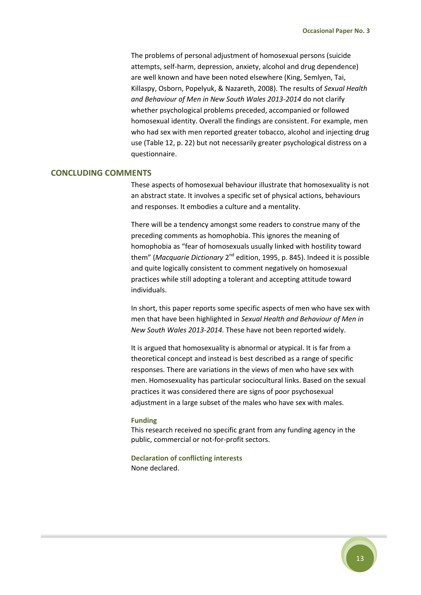The problems of personal adjustment of homosexual persons (suicide attempts, self-harm, depression, anxiety, alcohol and drug dependence) are well known and have been noted elsewhere (King, Semlyen, Tai, Killaspy, Osborn, Popelyuk, & Nazareth, 2008). The results of *Sexual Health and Behaviour of Men in New South Wales 2013-2014* do not clarify whether psychological problems preceded, accompanied or followed homosexual identity. Overall the findings are consistent. For example, men who had sex with men reported greater tobacco, alcohol and injecting drug use (Table 12, p. 22) but not necessarily greater psychological distress on a questionnaire.

#### <span id="page-12-0"></span>**CONCLUDING COMMENTS**

These aspects of homosexual behaviour illustrate that homosexuality is not an abstract state. It involves a specific set of physical actions, behaviours and responses. It embodies a culture and a mentality.

There will be a tendency amongst some readers to construe many of the preceding comments as homophobia. This ignores the meaning of homophobia as "fear of homosexuals usually linked with hostility toward them" (*Macquarie Dictionary* 2<sup>nd</sup> edition, 1995, p. 845). Indeed it is possible and quite logically consistent to comment negatively on homosexual practices while still adopting a tolerant and accepting attitude toward individuals.

In short, this paper reports some specific aspects of men who have sex with men that have been highlighted in *Sexual Health and Behaviour of Men in New South Wales 2013-2014.* These have not been reported widely.

It is argued that homosexuality is abnormal or atypical. It is far from a theoretical concept and instead is best described as a range of specific responses. There are variations in the views of men who have sex with men. Homosexuality has particular sociocultural links. Based on the sexual practices it was considered there are signs of poor psychosexual adjustment in a large subset of the males who have sex with males.

#### **Funding**

This research received no specific grant from any funding agency in the public, commercial or not-for-profit sectors.

**Declaration of conflicting interests** None declared.

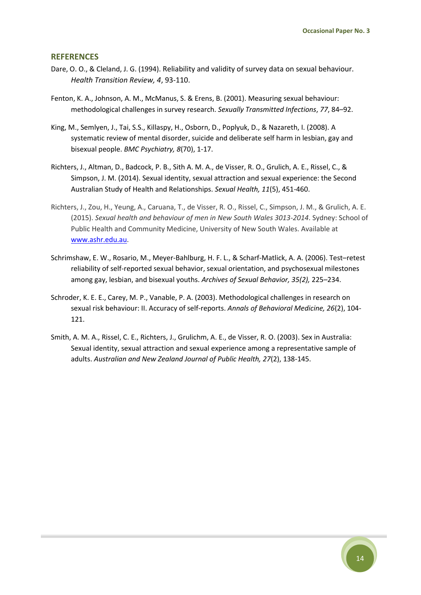#### <span id="page-13-0"></span>**REFERENCES**

- Dare, O. O., & Cleland, J. G. (1994). Reliability and validity of survey data on sexual behaviour. *Health Transition Review, 4*, 93-110.
- Fenton, K. A., Johnson, A. M., McManus, S. & Erens, B. (2001). Measuring sexual behaviour: methodological challenges in survey research. *Sexually Transmitted Infections*, *77*, 84–92.
- King, M., Semlyen, J., Tai, S.S., Killaspy, H., Osborn, D., Poplyuk, D., & Nazareth, I. (2008). A systematic review of mental disorder, suicide and deliberate self harm in lesbian, gay and bisexual people. *BMC Psychiatry, 8*(70), 1-17.
- Richters, J., Altman, D., Badcock, P. B., Sith A. M. A., de Visser, R. O., Grulich, A. E., Rissel, C., & Simpson, J. M. (2014). Sexual identity, sexual attraction and sexual experience: the Second Australian Study of Health and Relationships. *Sexual Health, 11*(5), 451-460.
- Richters, J., Zou, H., Yeung, A., Caruana, T., de Visser, R. O., Rissel, C., Simpson, J. M., & Grulich, A. E. (2015). *Sexual health and behaviour of men in New South Wales 3013-2014*. Sydney: School of Public Health and Community Medicine, University of New South Wales. Available at [www.ashr.edu.au.](http://www.ashr.edu.au/)
- Schrimshaw, E. W., Rosario, M., Meyer-Bahlburg, H. F. L., & Scharf-Matlick, A. A. (2006). Test–retest reliability of self-reported sexual behavior, sexual orientation, and psychosexual milestones among gay, lesbian, and bisexual youths. *Archives of Sexual Behavior, 35(2),* 225–234.
- Schroder, K. E. E., Carey, M. P., Vanable, P. A. (2003). Methodological challenges in research on sexual risk behaviour: II. Accuracy of self-reports. *Annals of Behavioral Medicine, 26*(2), 104- 121.
- Smith, A. M. A., Rissel, C. E., Richters, J., Grulichm, A. E., de Visser, R. O. (2003). Sex in Australia: Sexual identity, sexual attraction and sexual experience among a representative sample of adults. *Australian and New Zealand Journal of Public Health, 27*(2), 138-145.